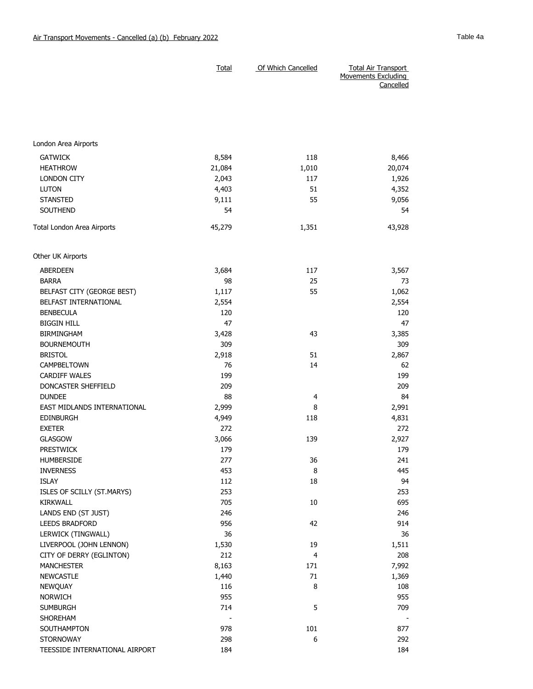|                                 | <b>Total</b> | Of Which Cancelled | <b>Total Air Transport</b><br><b>Movements Excluding</b><br>Cancelled |
|---------------------------------|--------------|--------------------|-----------------------------------------------------------------------|
|                                 |              |                    |                                                                       |
| London Area Airports            |              |                    |                                                                       |
| <b>GATWICK</b>                  | 8,584        | 118                | 8,466                                                                 |
| <b>HEATHROW</b>                 | 21,084       | 1,010              | 20,074                                                                |
| LONDON CITY                     | 2,043        | 117                | 1,926                                                                 |
| <b>LUTON</b>                    | 4,403        | 51                 | 4,352                                                                 |
| <b>STANSTED</b>                 | 9,111        | 55                 | 9,056                                                                 |
| <b>SOUTHEND</b>                 | 54           |                    | 54                                                                    |
| Total London Area Airports      | 45,279       | 1,351              | 43,928                                                                |
| Other UK Airports               |              |                    |                                                                       |
| <b>ABERDEEN</b>                 | 3,684        | 117                | 3,567                                                                 |
| <b>BARRA</b>                    | 98           | 25                 | 73                                                                    |
| BELFAST CITY (GEORGE BEST)      | 1,117        | 55                 | 1,062                                                                 |
| BELFAST INTERNATIONAL           | 2,554        |                    | 2,554                                                                 |
| <b>BENBECULA</b>                | 120          |                    | 120                                                                   |
| <b>BIGGIN HILL</b>              | 47           |                    | 47                                                                    |
| <b>BIRMINGHAM</b>               | 3,428        | 43                 | 3,385                                                                 |
| <b>BOURNEMOUTH</b>              | 309          |                    | 309                                                                   |
| <b>BRISTOL</b>                  | 2,918        | 51                 | 2,867                                                                 |
| CAMPBELTOWN                     | 76           | 14                 | 62                                                                    |
| <b>CARDIFF WALES</b>            | 199          |                    | 199                                                                   |
| DONCASTER SHEFFIELD             | 209          |                    | 209                                                                   |
| <b>DUNDEE</b>                   | 88           | 4                  | 84                                                                    |
| EAST MIDLANDS INTERNATIONAL     | 2,999        | 8                  | 2,991                                                                 |
| <b>EDINBURGH</b>                | 4,949        | 118                | 4,831                                                                 |
| <b>EXETER</b>                   | 272          |                    | 272                                                                   |
| <b>GLASGOW</b>                  | 3,066        | 139                | 2,927                                                                 |
| PRESTWICK                       | 179          |                    | 179                                                                   |
| <b>HUMBERSIDE</b>               | 277          | 36                 | 241                                                                   |
| <b>INVERNESS</b>                | 453          | 8                  | 445                                                                   |
| <b>ISLAY</b>                    | 112          | 18                 | 94                                                                    |
| ISLES OF SCILLY (ST.MARYS)      | 253          |                    | 253                                                                   |
| <b>KIRKWALL</b>                 | 705          | 10                 | 695                                                                   |
| LANDS END (ST JUST)             | 246          |                    | 246                                                                   |
| LEEDS BRADFORD                  | 956          | 42                 | 914                                                                   |
| LERWICK (TINGWALL)              | 36           |                    | 36                                                                    |
| LIVERPOOL (JOHN LENNON)         | 1,530        | 19                 | 1,511                                                                 |
| CITY OF DERRY (EGLINTON)        | 212          | 4                  | 208                                                                   |
| <b>MANCHESTER</b>               | 8,163        | 171                | 7,992                                                                 |
| <b>NEWCASTLE</b>                | 1,440        | 71<br>8            | 1,369                                                                 |
| <b>NEWQUAY</b>                  | 116          |                    | 108                                                                   |
| <b>NORWICH</b>                  | 955<br>714   | 5                  | 955                                                                   |
| <b>SUMBURGH</b><br>SHOREHAM     |              |                    | 709                                                                   |
|                                 |              | 101                |                                                                       |
| SOUTHAMPTON<br><b>STORNOWAY</b> | 978<br>298   | 6                  | 877<br>292                                                            |
| TEESSIDE INTERNATIONAL AIRPORT  | 184          |                    | 184                                                                   |
|                                 |              |                    |                                                                       |